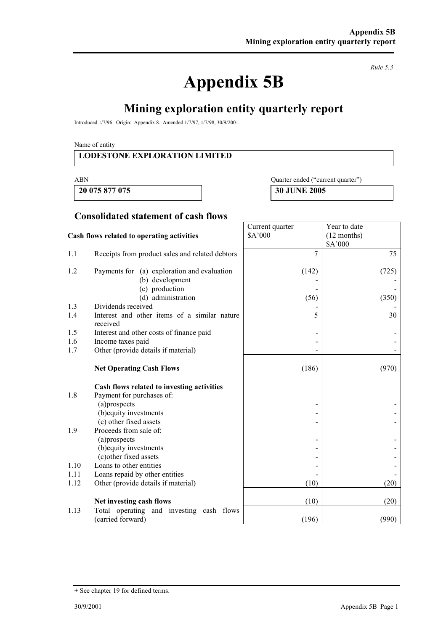# **Appendix 5B**

*Rule 5.3* 

# **Mining exploration entity quarterly report**

Introduced 1/7/96. Origin: Appendix 8. Amended 1/7/97, 1/7/98, 30/9/2001.

Name of entity

#### **LODESTONE EXPLORATION LIMITED**

**20 075 877 075 30 JUNE 2005** 

ABN Quarter ended ("current quarter")

Year to date (12 months)

Current quarter \$A'000

#### **Consolidated statement of cash flows**

#### **Cash flows related to operating activities**

|      |                                                          |       | \$A'000 |
|------|----------------------------------------------------------|-------|---------|
| 1.1  | Receipts from product sales and related debtors          | 7     | 75      |
| 1.2  | Payments for (a) exploration and evaluation              | (142) | (725)   |
|      | (b) development                                          |       |         |
|      | (c) production                                           |       |         |
|      | (d) administration                                       | (56)  | (350)   |
| 1.3  | Dividends received                                       |       |         |
| 1.4  | Interest and other items of a similar nature<br>received | 5     | 30      |
| 1.5  | Interest and other costs of finance paid                 |       |         |
| 1.6  | Income taxes paid                                        |       |         |
| 1.7  | Other (provide details if material)                      |       |         |
|      |                                                          |       |         |
|      | <b>Net Operating Cash Flows</b>                          | (186) | (970)   |
|      |                                                          |       |         |
|      | Cash flows related to investing activities               |       |         |
| 1.8  | Payment for purchases of:                                |       |         |
|      | (a)prospects                                             |       |         |
|      | (b) equity investments<br>(c) other fixed assets         |       |         |
| 1.9  | Proceeds from sale of:                                   |       |         |
|      | (a)prospects                                             |       |         |
|      | (b) equity investments                                   |       |         |
|      | (c) other fixed assets                                   |       |         |
| 1.10 | Loans to other entities                                  |       |         |
| 1.11 | Loans repaid by other entities                           |       |         |
| 1.12 | Other (provide details if material)                      | (10)  | (20)    |
|      |                                                          |       |         |
|      | Net investing cash flows                                 | (10)  | (20)    |
| 1.13 | Total operating and investing cash flows                 |       |         |
|      | (carried forward)                                        | (196) | (990)   |

<sup>+</sup> See chapter 19 for defined terms.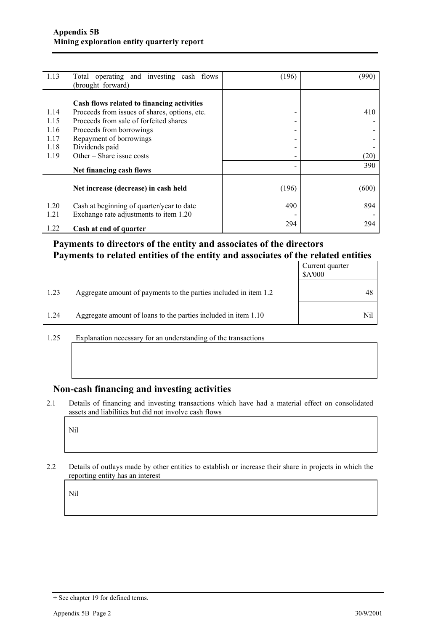| 1.13 | Total operating and investing cash flows      | (196)                    | (990) |
|------|-----------------------------------------------|--------------------------|-------|
|      | (brought forward)                             |                          |       |
|      |                                               |                          |       |
|      | Cash flows related to financing activities    |                          |       |
| 1.14 | Proceeds from issues of shares, options, etc. | -                        | 410   |
| 1.15 | Proceeds from sale of forfeited shares        | $\overline{\phantom{0}}$ |       |
| 1.16 | Proceeds from borrowings                      | -                        |       |
| 1.17 | Repayment of borrowings                       | -                        |       |
| 1.18 | Dividends paid                                | -                        |       |
| 1.19 | Other – Share issue costs                     | $\overline{\phantom{0}}$ | (20)  |
|      | Net financing cash flows                      |                          | 390   |
|      |                                               |                          |       |
|      | Net increase (decrease) in cash held          | (196)                    | (600) |
| 1.20 | Cash at beginning of quarter/year to date     | 490                      | 894   |
| 1.21 | Exchange rate adjustments to item 1.20        |                          |       |
|      |                                               | 294                      | 294   |
| 1.22 | Cash at end of quarter                        |                          |       |

## **Payments to directors of the entity and associates of the directors Payments to related entities of the entity and associates of the related entities**

|      |                                                                  | Current quarter<br>\$A'000 |
|------|------------------------------------------------------------------|----------------------------|
| 1.23 | Aggregate amount of payments to the parties included in item 1.2 | 48                         |
| 1.24 | Aggregate amount of loans to the parties included in item 1.10   | Nil                        |

1.25 Explanation necessary for an understanding of the transactions

#### **Non-cash financing and investing activities**

2.1 Details of financing and investing transactions which have had a material effect on consolidated assets and liabilities but did not involve cash flows

Nil

2.2 Details of outlays made by other entities to establish or increase their share in projects in which the reporting entity has an interest

Nil

<sup>+</sup> See chapter 19 for defined terms.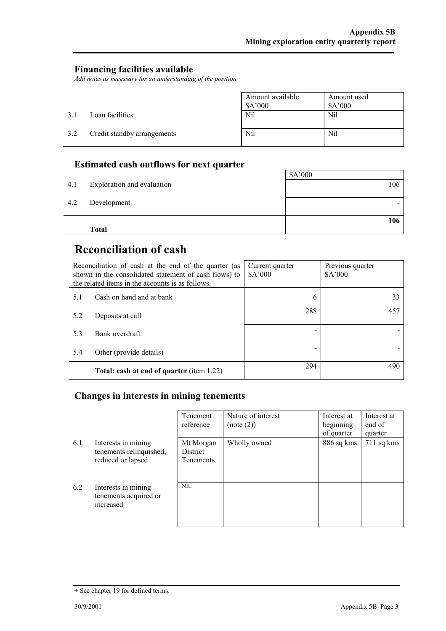#### **Financing facilities available**

*Add notes as necessary for an understanding of the position.* 

|     |                             | Amount available<br>\$A'000 | Amount used<br>A'000 |
|-----|-----------------------------|-----------------------------|----------------------|
| 3.1 | Loan facilities             | Nil                         | Nil                  |
| 3.2 | Credit standby arrangements | Nil                         | Nil                  |

## **Estimated cash outflows for next quarter**

| 4.1 | Exploration and evaluation | \$A'000<br>106 |
|-----|----------------------------|----------------|
| 4.2 | Development                |                |
|     | <b>Total</b>               | 106            |

# **Reconciliation of cash**

| Reconciliation of cash at the end of the quarter (as<br>shown in the consolidated statement of cash flows) to<br>the related items in the accounts is as follows. |                                                  | Current quarter<br>\$A'000 | Previous quarter<br>\$A'000 |
|-------------------------------------------------------------------------------------------------------------------------------------------------------------------|--------------------------------------------------|----------------------------|-----------------------------|
| 5.1                                                                                                                                                               | Cash on hand and at bank                         | 6                          | 33                          |
| 5.2                                                                                                                                                               | Deposits at call                                 | 288                        | 457                         |
| 5.3                                                                                                                                                               | Bank overdraft                                   |                            |                             |
| 5.4                                                                                                                                                               | Other (provide details)                          |                            |                             |
|                                                                                                                                                                   | <b>Total: cash at end of quarter (item 1.22)</b> | 294                        | 490                         |

## **Changes in interests in mining tenements**

|     |                                                                     | Tenement<br>reference                     | Nature of interest<br>(note (2)) | Interest at<br>beginning<br>of quarter | Interest at<br>end of<br>quarter |
|-----|---------------------------------------------------------------------|-------------------------------------------|----------------------------------|----------------------------------------|----------------------------------|
| 6.1 | Interests in mining<br>tenements relinquished,<br>reduced or lapsed | Mt Morgan<br>District<br><b>Tenements</b> | Wholly owned                     | 886 sq kms                             | $711$ sq kms                     |
| 6.2 | Interests in mining<br>tenements acquired or<br>increased           | <b>NIL</b>                                |                                  |                                        |                                  |

<sup>+</sup> See chapter 19 for defined terms.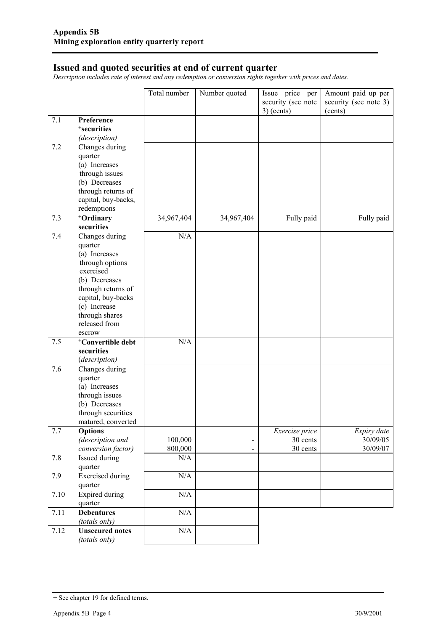#### **Issued and quoted securities at end of current quarter**

*Description includes rate of interest and any redemption or conversion rights together with prices and dates.* 

|      |                                         | Total number | Number quoted  | Issue price per                    | Amount paid up per               |
|------|-----------------------------------------|--------------|----------------|------------------------------------|----------------------------------|
|      |                                         |              |                | security (see note<br>$3)$ (cents) | security (see note 3)<br>(cents) |
| 7.1  | Preference                              |              |                |                                    |                                  |
|      | <sup>+</sup> securities                 |              |                |                                    |                                  |
|      | (description)                           |              |                |                                    |                                  |
| 7.2  | Changes during                          |              |                |                                    |                                  |
|      | quarter                                 |              |                |                                    |                                  |
|      | (a) Increases                           |              |                |                                    |                                  |
|      | through issues                          |              |                |                                    |                                  |
|      | (b) Decreases<br>through returns of     |              |                |                                    |                                  |
|      | capital, buy-backs,                     |              |                |                                    |                                  |
|      | redemptions                             |              |                |                                    |                                  |
| 7.3  | +Ordinary                               | 34,967,404   | 34,967,404     | Fully paid                         | Fully paid                       |
|      | securities                              |              |                |                                    |                                  |
| 7.4  | Changes during                          | N/A          |                |                                    |                                  |
|      | quarter                                 |              |                |                                    |                                  |
|      | (a) Increases                           |              |                |                                    |                                  |
|      | through options                         |              |                |                                    |                                  |
|      | exercised<br>(b) Decreases              |              |                |                                    |                                  |
|      | through returns of                      |              |                |                                    |                                  |
|      | capital, buy-backs                      |              |                |                                    |                                  |
|      | (c) Increase                            |              |                |                                    |                                  |
|      | through shares                          |              |                |                                    |                                  |
|      | released from                           |              |                |                                    |                                  |
|      | escrow                                  |              |                |                                    |                                  |
| 7.5  | <sup>+</sup> Convertible debt           | N/A          |                |                                    |                                  |
|      | securities                              |              |                |                                    |                                  |
| 7.6  | (description)<br>Changes during         |              |                |                                    |                                  |
|      | quarter                                 |              |                |                                    |                                  |
|      | (a) Increases                           |              |                |                                    |                                  |
|      | through issues                          |              |                |                                    |                                  |
|      | (b) Decreases                           |              |                |                                    |                                  |
|      | through securities                      |              |                |                                    |                                  |
|      | matured, converted                      |              |                |                                    |                                  |
| 7.7  | <b>Options</b>                          |              |                | Exercise price                     | Expiry date                      |
|      | (description and                        | 100,000      |                | 30 cents                           | 30/09/05<br>30/09/07             |
|      | conversion factor)                      | 800,000      | $\blacksquare$ | 30 cents                           |                                  |
| 7.8  | Issued during<br>quarter                | N/A          |                |                                    |                                  |
| 7.9  | <b>Exercised</b> during                 | N/A          |                |                                    |                                  |
|      | quarter                                 |              |                |                                    |                                  |
| 7.10 | <b>Expired during</b>                   | N/A          |                |                                    |                                  |
|      | quarter                                 |              |                |                                    |                                  |
| 7.11 | <b>Debentures</b>                       | $\rm N/A$    |                |                                    |                                  |
|      | (totals only)                           |              |                |                                    |                                  |
| 7.12 | <b>Unsecured notes</b><br>(totals only) | $\rm N/A$    |                |                                    |                                  |

<sup>+</sup> See chapter 19 for defined terms.